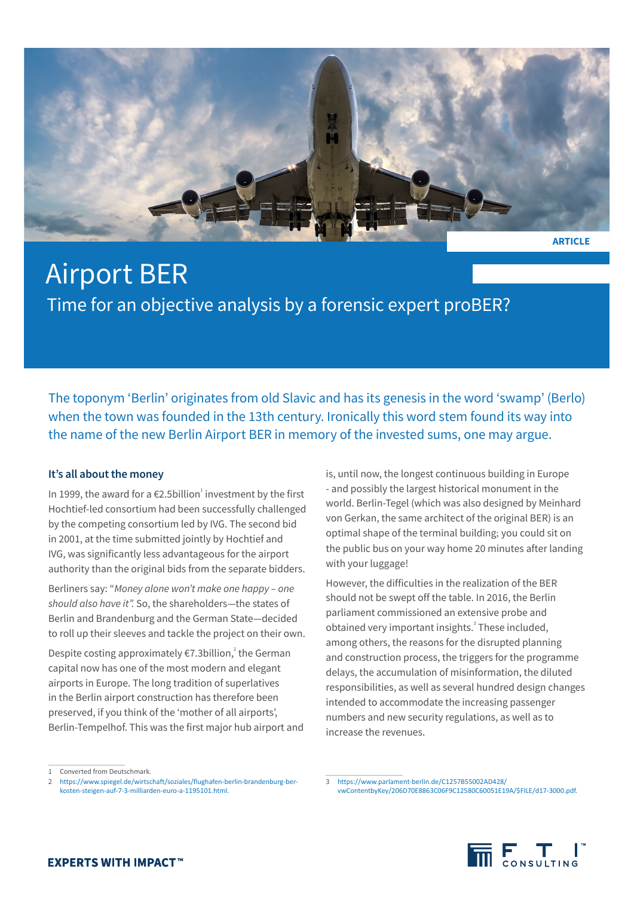

# Airport BER Time for an objective analysis by a forensic expert proBER?

The toponym 'Berlin' originates from old Slavic and has its genesis in the word 'swamp' (Berlo) when the town was founded in the 13th century. Ironically this word stem found its way into the name of the new Berlin Airport BER in memory of the invested sums, one may argue.

# **It's all about the money**

In 1999, the award for a €2.5billion<sup>1</sup> investment by the first Hochtief-led consortium had been successfully challenged by the competing consortium led by IVG. The second bid in 2001, at the time submitted jointly by Hochtief and IVG, was significantly less advantageous for the airport authority than the original bids from the separate bidders.

Berliners say: "*Money alone won't make one happy – one should also have it".* So, the shareholders—the states of Berlin and Brandenburg and the German State—decided to roll up their sleeves and tackle the project on their own.

Despite costing approximately €7.3billion,<sup>2</sup> the German capital now has one of the most modern and elegant airports in Europe. The long tradition of superlatives in the Berlin airport construction has therefore been preserved, if you think of the 'mother of all airports', Berlin-Tempelhof. This was the first major hub airport and is, until now, the longest continuous building in Europe - and possibly the largest historical monument in the world. Berlin-Tegel (which was also designed by Meinhard von Gerkan, the same architect of the original BER) is an optimal shape of the terminal building; you could sit on the public bus on your way home 20 minutes after landing with your luggage!

However, the difficulties in the realization of the BER should not be swept off the table. In 2016, the Berlin parliament commissioned an extensive probe and obtained very important insights.<sup>3</sup> These included, among others, the reasons for the disrupted planning and construction process, the triggers for the programme delays, the accumulation of misinformation, the diluted responsibilities, as well as several hundred design changes intended to accommodate the increasing passenger numbers and new security regulations, as well as to increase the revenues.

<sup>3</sup> [https://www.parlament-berlin.de/C1257B55002AD428/](https://www.parlament-berlin.de/C1257B55002AD428/vwContentbyKey/206D70E8863C06F9C12580C60051E19A/$FILE/d17-3000.pdf) [vwContentbyKey/206D70E8863C06F9C12580C60051E19A/\\$FILE/d17-3000.pdf.](https://www.parlament-berlin.de/C1257B55002AD428/vwContentbyKey/206D70E8863C06F9C12580C60051E19A/$FILE/d17-3000.pdf)



Converted from Deutschmark.

<sup>2</sup> https://www.spiegel.de/wirtschaft/soziales/flughafen-berlin-brandenburg-berkosten-steigen-auf-7-3-milliarden-euro-a-1195101.html.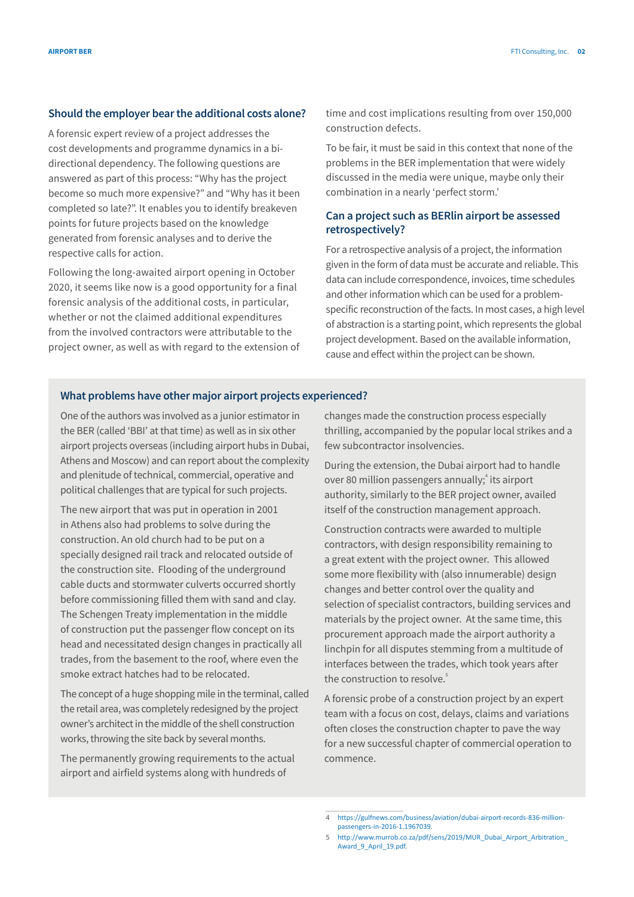## **Should the employer bear the additional costs alone?**

A forensic expert review of a project addresses the cost developments and programme dynamics in a bidirectional dependency. The following questions are answered as part of this process: "Why has the project become so much more expensive?" and "Why has it been completed so late?". It enables you to identify breakeven points for future projects based on the knowledge generated from forensic analyses and to derive the respective calls for action.

Following the long-awaited airport opening in October 2020, it seems like now is a good opportunity for a final forensic analysis of the additional costs, in particular, whether or not the claimed additional expenditures from the involved contractors were attributable to the project owner, as well as with regard to the extension of time and cost implications resulting from over 150,000 construction defects.

To be fair, it must be said in this context that none of the problems in the BER implementation that were widely discussed in the media were unique, maybe only their combination in a nearly 'perfect storm.'

# **Can a project such as BERlin airport be assessed retrospectively?**

For a retrospective analysis of a project, the information given in the form of data must be accurate and reliable. This data can include correspondence, invoices, time schedules and other information which can be used for a problemspecific reconstruction of the facts. In most cases, a high level of abstraction is a starting point, which represents the global project development. Based on the available information, cause and effect within the project can be shown.

## **What problems have other major airport projects experienced?**

One of the authors was involved as a junior estimator in the BER (called 'BBI' at that time) as well as in six other airport projects overseas (including airport hubs in Dubai, Athens and Moscow) and can report about the complexity and plenitude of technical, commercial, operative and political challenges that are typical for such projects.

The new airport that was put in operation in 2001 in Athens also had problems to solve during the construction. An old church had to be put on a specially designed rail track and relocated outside of the construction site. Flooding of the underground cable ducts and stormwater culverts occurred shortly before commissioning filled them with sand and clay. The Schengen Treaty implementation in the middle of construction put the passenger flow concept on its head and necessitated design changes in practically all trades, from the basement to the roof, where even the smoke extract hatches had to be relocated.

The concept of a huge shopping mile in the terminal, called the retail area, was completely redesigned by the project owner's architect in the middle of the shell construction works, throwing the site back by several months.

The permanently growing requirements to the actual airport and airfield systems along with hundreds of

changes made the construction process especially thrilling, accompanied by the popular local strikes and a few subcontractor insolvencies.

During the extension, the Dubai airport had to handle over 80 million passengers annually;<sup>4</sup> its airport authority, similarly to the BER project owner, availed itself of the construction management approach.

Construction contracts were awarded to multiple contractors, with design responsibility remaining to a great extent with the project owner. This allowed some more flexibility with (also innumerable) design changes and better control over the quality and selection of specialist contractors, building services and materials by the project owner. At the same time, this procurement approach made the airport authority a linchpin for all disputes stemming from a multitude of interfaces between the trades, which took years after the construction to resolve.<sup>5</sup>

A forensic probe of a construction project by an expert team with a focus on cost, delays, claims and variations often closes the construction chapter to pave the way for a new successful chapter of commercial operation to commence.

<sup>4</sup> https://gulfnews.com/business/aviation/dubai-airport-records-836-millionpassengers-in-2016-1.1967039.

<sup>5</sup> http://www.murrob.co.za/pdf/sens/2019/MUR\_Dubai\_Airport\_Arbitration\_ Award\_9\_April\_19.pdf.